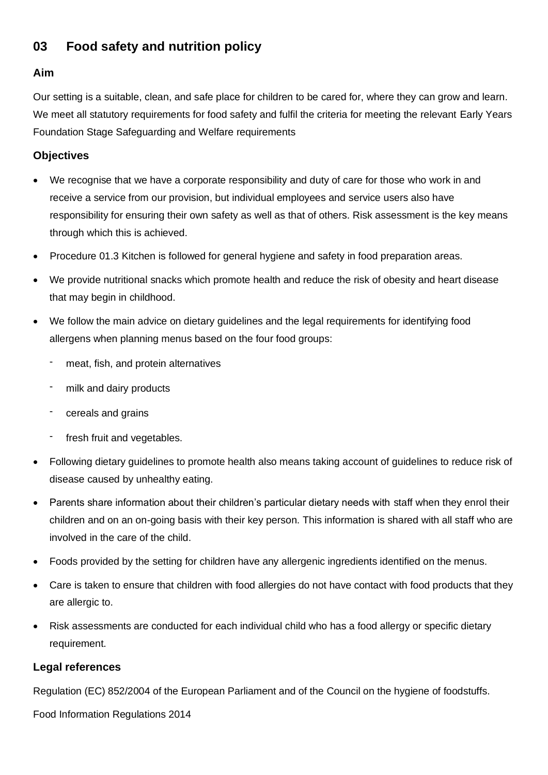# **03 Food safety and nutrition policy**

#### **Aim**

Our setting is a suitable, clean, and safe place for children to be cared for, where they can grow and learn. We meet all statutory requirements for food safety and fulfil the criteria for meeting the relevant Early Years Foundation Stage Safeguarding and Welfare requirements

### **Objectives**

- We recognise that we have a corporate responsibility and duty of care for those who work in and receive a service from our provision, but individual employees and service users also have responsibility for ensuring their own safety as well as that of others. Risk assessment is the key means through which this is achieved.
- Procedure 01.3 Kitchen is followed for general hygiene and safety in food preparation areas.
- We provide nutritional snacks which promote health and reduce the risk of obesity and heart disease that may begin in childhood.
- We follow the main advice on dietary guidelines and the legal requirements for identifying food allergens when planning menus based on the four food groups:
	- meat, fish, and protein alternatives
	- milk and dairy products
	- cereals and grains
	- fresh fruit and vegetables.
- Following dietary guidelines to promote health also means taking account of guidelines to reduce risk of disease caused by unhealthy eating.
- Parents share information about their children's particular dietary needs with staff when they enrol their children and on an on-going basis with their key person. This information is shared with all staff who are involved in the care of the child.
- Foods provided by the setting for children have any allergenic ingredients identified on the menus.
- Care is taken to ensure that children with food allergies do not have contact with food products that they are allergic to.
- Risk assessments are conducted for each individual child who has a food allergy or specific dietary requirement.

### **Legal references**

Regulation (EC) 852/2004 of the European Parliament and of the Council on the hygiene of foodstuffs.

Food Information Regulations 2014